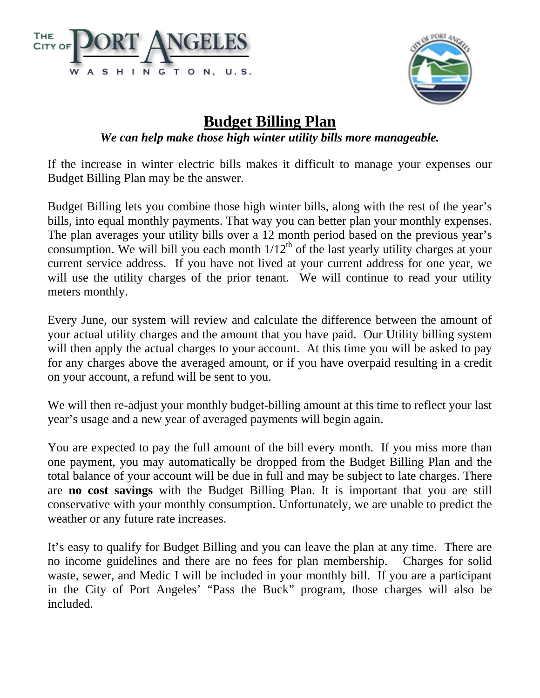



## **Budget Billing Plan**

## *We can help make those high winter utility bills more manageable.*

If the increase in winter electric bills makes it difficult to manage your expenses our Budget Billing Plan may be the answer.

Budget Billing lets you combine those high winter bills, along with the rest of the year's bills, into equal monthly payments. That way you can better plan your monthly expenses. The plan averages your utility bills over a 12 month period based on the previous year's consumption. We will bill you each month  $1/12<sup>th</sup>$  of the last yearly utility charges at your current service address. If you have not lived at your current address for one year, we will use the utility charges of the prior tenant. We will continue to read your utility meters monthly.

Every June, our system will review and calculate the difference between the amount of your actual utility charges and the amount that you have paid. Our Utility billing system will then apply the actual charges to your account. At this time you will be asked to pay for any charges above the averaged amount, or if you have overpaid resulting in a credit on your account, a refund will be sent to you.

We will then re-adjust your monthly budget-billing amount at this time to reflect your last year's usage and a new year of averaged payments will begin again.

You are expected to pay the full amount of the bill every month. If you miss more than one payment, you may automatically be dropped from the Budget Billing Plan and the total balance of your account will be due in full and may be subject to late charges. There are **no cost savings** with the Budget Billing Plan. It is important that you are still conservative with your monthly consumption. Unfortunately, we are unable to predict the weather or any future rate increases.

It's easy to qualify for Budget Billing and you can leave the plan at any time. There are no income guidelines and there are no fees for plan membership. Charges for solid waste, sewer, and Medic I will be included in your monthly bill. If you are a participant in the City of Port Angeles' "Pass the Buck" program, those charges will also be included.